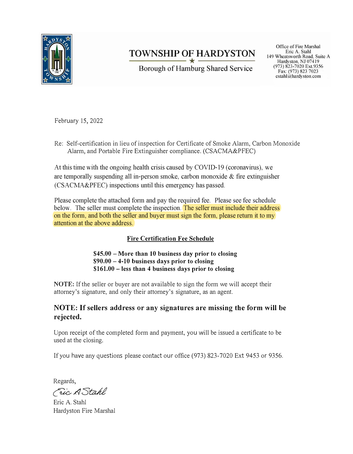

# **TOWNSHIP OF HARDYSTON**

Borough of Hamburg Shared Service

Office of Fire Marshal Eric A. Stahl 149 Wheatsworth Road, Suite A Hardyston, NJ 07419 (973) 823-7020 Ext.9356 Fax: (973) 823 7023 estahl $\hat{a}$ hardyston.com

February 15, 2022

Re: Self-certification in lieu of inspection for Certificate of Smoke Alarm, Carbon Monoxide Alarm, and Portable Fire Extinguisher compliance. (CSACMA&PFEC)

At this time with the ongoing health crisis caused by COVID-19 (coronavirus), we are temporally suspending all in-person smoke, carbon monoxide & fire extinguisher (CSACMA&PFEC) inspections until this emergency has passed.

Please complete the attached form and pay the required fee. Please see fee schedule below. The seller must complete the inspection. The seller must include their address on the form, and both the seller and buyer must sign the form, please return it to my attention at the above address.

## **Fire Certification Fee Schedule**

**\$45.00 - More than 10 business day prior to closing \$90.00 - 4-10 business days prior to closing \$161.00 - less than 4 business days prior to closing** 

**NOTE:** If the seller or buyer are not available to sign the form we will accept their attorney's signature, and only their attorney's signature, as an agent.

## **NOTE: If sellers address or any signatures are missing the form will be rejected.**

Upon receipt of the completed form and payment, you will be issued a certificate to be used at the closing.

If you have any questions please contact our office (973) 823-7020 Ext 9453 or 9356.

Regards,

Fric A Stahl

Eric A. Stahl Hardyston Fire Marshal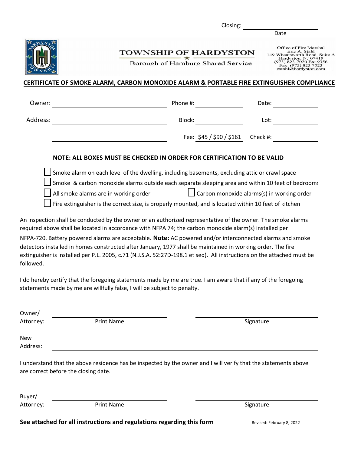Closing:

**TOWNSHIP OF HARDYSTON** 

Borough of Hamburg Shared Service

Office of Fire Marshal<br>Eric A. Stahl<br>149 Wheatsworth Road, Suite A<br>Hardyston, NJ 07419<br>(973) 823-7020 Ext.9356<br>Fax: (973) 823 7023<br>estahl@hardyston.com

Date

### **CERTIFICATE OF SMOKE ALARM, CARBON MONOXIDE ALARM & PORTABLE FIRE EXTINGUISHER COMPLIANCE**

| Owner:                                                                                                                                                                                                                 | Phone #:                                                                                             | Date:                                                                                             |
|------------------------------------------------------------------------------------------------------------------------------------------------------------------------------------------------------------------------|------------------------------------------------------------------------------------------------------|---------------------------------------------------------------------------------------------------|
| Address:                                                                                                                                                                                                               | Block:                                                                                               | Lot:                                                                                              |
|                                                                                                                                                                                                                        | Fee: $$45 / $90 / $161$                                                                              | Check #:                                                                                          |
|                                                                                                                                                                                                                        | NOTE: ALL BOXES MUST BE CHECKED IN ORDER FOR CERTIFICATION TO BE VALID                               |                                                                                                   |
|                                                                                                                                                                                                                        | Smoke alarm on each level of the dwelling, including basements, excluding attic or crawl space       |                                                                                                   |
|                                                                                                                                                                                                                        |                                                                                                      | Smoke & carbon monoxide alarms outside each separate sleeping area and within 10 feet of bedrooms |
| All smoke alarms are in working order                                                                                                                                                                                  |                                                                                                      | Carbon monoxide alarms(s) in working order                                                        |
|                                                                                                                                                                                                                        | Fire extinguisher is the correct size, is properly mounted, and is located within 10 feet of kitchen |                                                                                                   |
| An inspection shall be conducted by the owner or an authorized representative of the owner. The smoke alarms<br>required above shall be located in accordance with NFPA 74; the carbon monoxide alarm(s) installed per |                                                                                                      |                                                                                                   |
| NFPA-720. Battery powered alarms are acceptable. Note: AC powered and/or interconnected alarms and smoke                                                                                                               |                                                                                                      |                                                                                                   |
| detectors installed in homes constructed after January, 1977 shall be maintained in working order. The fire                                                                                                            |                                                                                                      |                                                                                                   |
| extinguisher is installed per P.L. 2005, c.71 (N.J.S.A. 52:27D-198.1 et seq). All instructions on the attached must be                                                                                                 |                                                                                                      |                                                                                                   |

I do hereby certify that the foregoing statements made by me are true. I am aware that if any of the foregoing statements made by me are willfully false, I will be subject to penalty.

Owner/

Attorney:

followed.

Print Name Signature

New Address:

I understand that the above residence has be inspected by the owner and I will verify that the statements above are correct before the closing date.

Buyer/ Attorney:

Print Name Signature

**See attached for all instructions and regulations regarding this form** Revised: February 8, 2022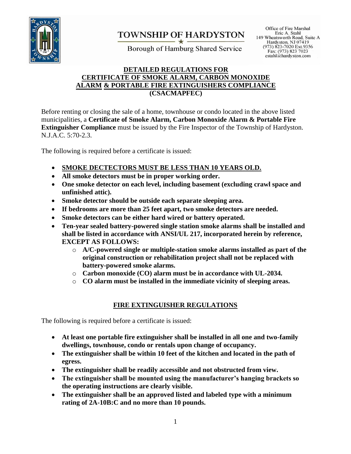

# **TOWNSHIP OF HARDYSTON**

Borough of Hamburg Shared Service

Office of Fire Marshal Eric A. Stahl 149 Wheatsworth Road, Suite A Hardyston, NJ 07419 (973) 823-7020 Ext.9356<br>Fax: (973) 823 7023 estahl $\hat{\alpha}$ hardyston.com

### **DETAILED REGULATIONS FOR CERTIFICATE OF SMOKE ALARM, CARBON MONOXIDE ALARM & PORTABLE FIRE EXTINGUISHERS COMPLIANCE (CSACMAPFEC)**

Before renting or closing the sale of a home, townhouse or condo located in the above listed municipalities, a **Certificate of Smoke Alarm, Carbon Monoxide Alarm & Portable Fire Extinguisher Compliance** must be issued by the Fire Inspector of the Township of Hardyston. N.J.A.C. 5:70-2.3.

The following is required before a certificate is issued:

- **SMOKE DECTECTORS MUST BE LESS THAN 10 YEARS OLD.**
- **All smoke detectors must be in proper working order.**
- **One smoke detector on each level, including basement (excluding crawl space and unfinished attic).**
- **Smoke detector should be outside each separate sleeping area.**
- **If bedrooms are more than 25 feet apart, two smoke detectors are needed.**
- **Smoke detectors can be either hard wired or battery operated.**
- **Ten-year sealed battery-powered single station smoke alarms shall be installed and shall be listed in accordance with ANSI/UL 217, incorporated herein by reference, EXCEPT AS FOLLOWS:**
	- o **A/C-powered single or multiple-station smoke alarms installed as part of the original construction or rehabilitation project shall not be replaced with battery-powered smoke alarms.**
	- o **Carbon monoxide (CO) alarm must be in accordance with UL-2034.**
	- o **CO alarm must be installed in the immediate vicinity of sleeping areas.**

## **FIRE EXTINGUISHER REGULATIONS**

The following is required before a certificate is issued:

- **At least one portable fire extinguisher shall be installed in all one and two-family dwellings, townhouse, condo or rentals upon change of occupancy.**
- **The extinguisher shall be within 10 feet of the kitchen and located in the path of egress.**
- **The extinguisher shall be readily accessible and not obstructed from view.**
- **The extinguisher shall be mounted using the manufacturer's hanging brackets so the operating instructions are clearly visible.**
- **The extinguisher shall be an approved listed and labeled type with a minimum rating of 2A-10B:C and no more than 10 pounds.**